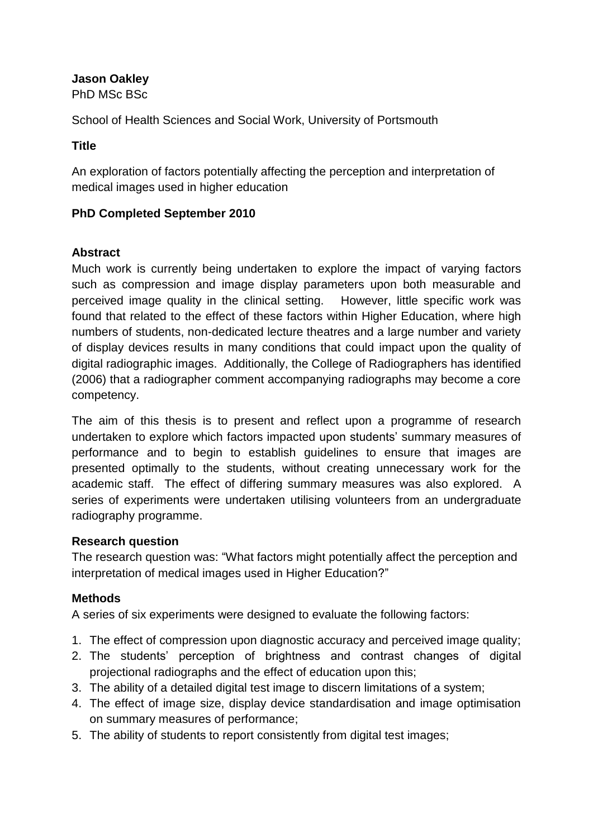# **Jason Oakley**

PhD MSc BSc

School of Health Sciences and Social Work, University of Portsmouth

### **Title**

An exploration of factors potentially affecting the perception and interpretation of medical images used in higher education

# **PhD Completed September 2010**

### **Abstract**

Much work is currently being undertaken to explore the impact of varying factors such as compression and image display parameters upon both measurable and perceived image quality in the clinical setting. However, little specific work was found that related to the effect of these factors within Higher Education, where high numbers of students, non-dedicated lecture theatres and a large number and variety of display devices results in many conditions that could impact upon the quality of digital radiographic images. Additionally, the College of Radiographers has identified (2006) that a radiographer comment accompanying radiographs may become a core competency.

The aim of this thesis is to present and reflect upon a programme of research undertaken to explore which factors impacted upon students' summary measures of performance and to begin to establish guidelines to ensure that images are presented optimally to the students, without creating unnecessary work for the academic staff. The effect of differing summary measures was also explored. A series of experiments were undertaken utilising volunteers from an undergraduate radiography programme.

# **Research question**

The research question was: "What factors might potentially affect the perception and interpretation of medical images used in Higher Education?"

# **Methods**

A series of six experiments were designed to evaluate the following factors:

- 1. The effect of compression upon diagnostic accuracy and perceived image quality;
- 2. The students' perception of brightness and contrast changes of digital projectional radiographs and the effect of education upon this;
- 3. The ability of a detailed digital test image to discern limitations of a system;
- 4. The effect of image size, display device standardisation and image optimisation on summary measures of performance;
- 5. The ability of students to report consistently from digital test images;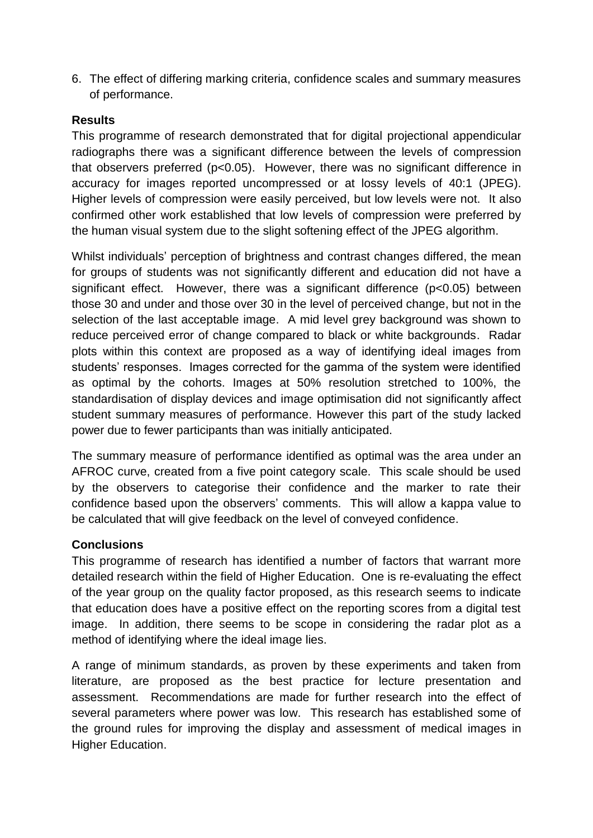6. The effect of differing marking criteria, confidence scales and summary measures of performance.

### **Results**

This programme of research demonstrated that for digital projectional appendicular radiographs there was a significant difference between the levels of compression that observers preferred (p<0.05). However, there was no significant difference in accuracy for images reported uncompressed or at lossy levels of 40:1 (JPEG). Higher levels of compression were easily perceived, but low levels were not. It also confirmed other work established that low levels of compression were preferred by the human visual system due to the slight softening effect of the JPEG algorithm.

Whilst individuals' perception of brightness and contrast changes differed, the mean for groups of students was not significantly different and education did not have a significant effect. However, there was a significant difference (p<0.05) between those 30 and under and those over 30 in the level of perceived change, but not in the selection of the last acceptable image. A mid level grey background was shown to reduce perceived error of change compared to black or white backgrounds. Radar plots within this context are proposed as a way of identifying ideal images from students' responses. Images corrected for the gamma of the system were identified as optimal by the cohorts. Images at 50% resolution stretched to 100%, the standardisation of display devices and image optimisation did not significantly affect student summary measures of performance. However this part of the study lacked power due to fewer participants than was initially anticipated.

The summary measure of performance identified as optimal was the area under an AFROC curve, created from a five point category scale. This scale should be used by the observers to categorise their confidence and the marker to rate their confidence based upon the observers' comments. This will allow a kappa value to be calculated that will give feedback on the level of conveyed confidence.

### **Conclusions**

This programme of research has identified a number of factors that warrant more detailed research within the field of Higher Education. One is re-evaluating the effect of the year group on the quality factor proposed, as this research seems to indicate that education does have a positive effect on the reporting scores from a digital test image. In addition, there seems to be scope in considering the radar plot as a method of identifying where the ideal image lies.

A range of minimum standards, as proven by these experiments and taken from literature, are proposed as the best practice for lecture presentation and assessment. Recommendations are made for further research into the effect of several parameters where power was low. This research has established some of the ground rules for improving the display and assessment of medical images in Higher Education.